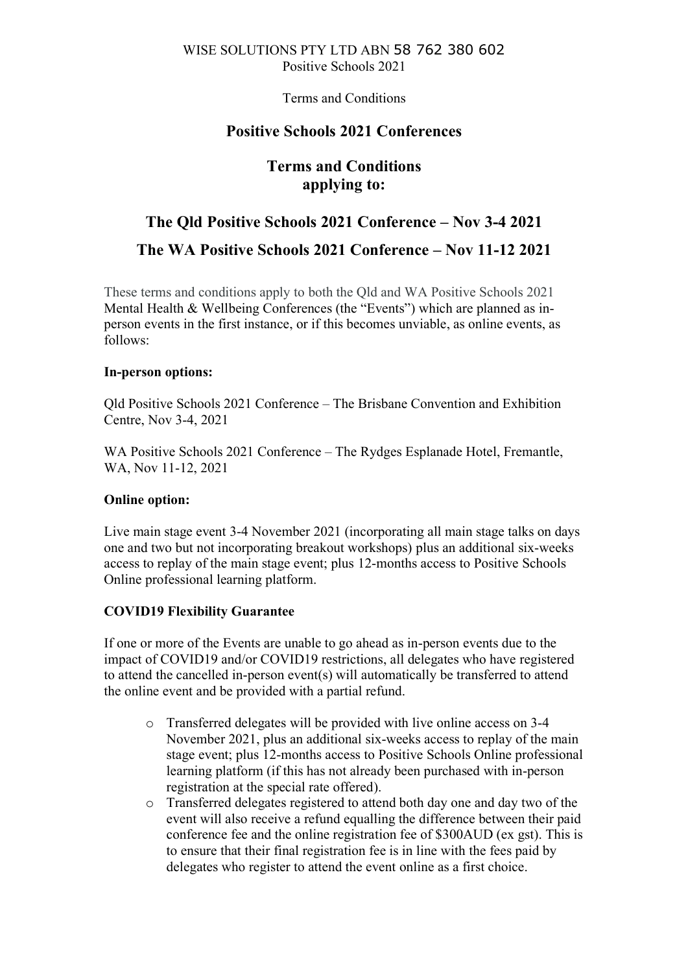Terms and Conditions

# **Positive Schools 2021 Conferences**

# **Terms and Conditions applying to:**

# **The Qld Positive Schools 2021 Conference – Nov 3-4 2021**

# **The WA Positive Schools 2021 Conference – Nov 11-12 2021**

These terms and conditions apply to both the Qld and WA Positive Schools 2021 Mental Health & Wellbeing Conferences (the "Events") which are planned as inperson events in the first instance, or if this becomes unviable, as online events, as follows:

# **In-person options:**

Qld Positive Schools 2021 Conference – The Brisbane Convention and Exhibition Centre, Nov 3-4, 2021

WA Positive Schools 2021 Conference – The Rydges Esplanade Hotel, Fremantle, WA, Nov 11-12, 2021

# **Online option:**

Live main stage event 3-4 November 2021 (incorporating all main stage talks on days one and two but not incorporating breakout workshops) plus an additional six-weeks access to replay of the main stage event; plus 12-months access to Positive Schools Online professional learning platform.

# **COVID19 Flexibility Guarantee**

If one or more of the Events are unable to go ahead as in-person events due to the impact of COVID19 and/or COVID19 restrictions, all delegates who have registered to attend the cancelled in-person event(s) will automatically be transferred to attend the online event and be provided with a partial refund.

- o Transferred delegates will be provided with live online access on 3-4 November 2021, plus an additional six-weeks access to replay of the main stage event; plus 12-months access to Positive Schools Online professional learning platform (if this has not already been purchased with in-person registration at the special rate offered).
- o Transferred delegates registered to attend both day one and day two of the event will also receive a refund equalling the difference between their paid conference fee and the online registration fee of \$300AUD (ex gst). This is to ensure that their final registration fee is in line with the fees paid by delegates who register to attend the event online as a first choice.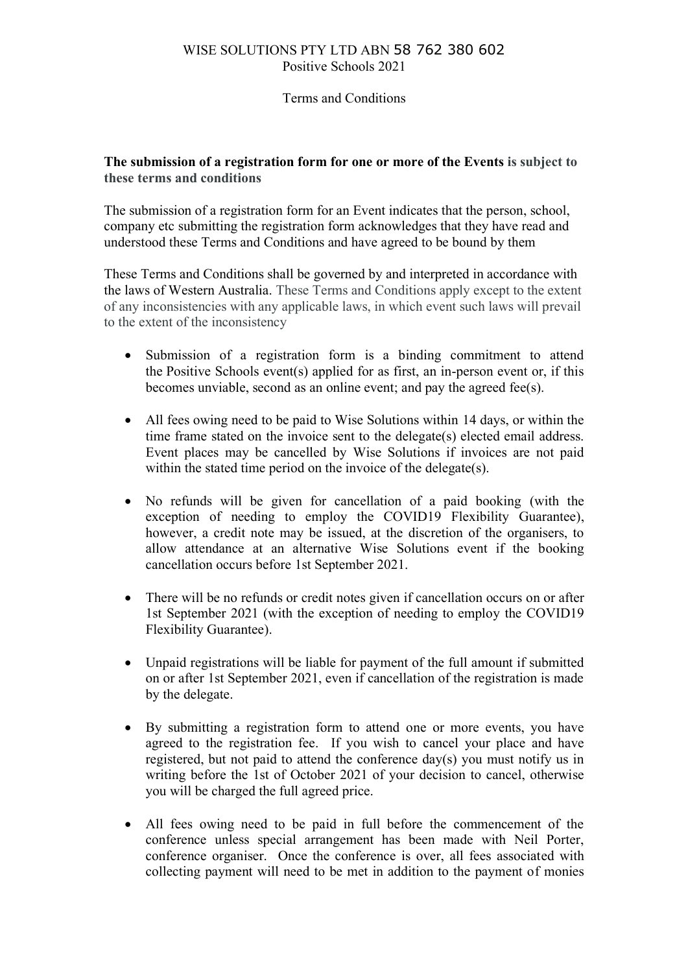#### Terms and Conditions

#### **The submission of a registration form for one or more of the Events is subject to these terms and conditions**

The submission of a registration form for an Event indicates that the person, school, company etc submitting the registration form acknowledges that they have read and understood these Terms and Conditions and have agreed to be bound by them

These Terms and Conditions shall be governed by and interpreted in accordance with the laws of Western Australia. These Terms and Conditions apply except to the extent of any inconsistencies with any applicable laws, in which event such laws will prevail to the extent of the inconsistency

- Submission of a registration form is a binding commitment to attend the Positive Schools event(s) applied for as first, an in-person event or, if this becomes unviable, second as an online event; and pay the agreed fee(s).
- All fees owing need to be paid to Wise Solutions within 14 days, or within the time frame stated on the invoice sent to the delegate(s) elected email address. Event places may be cancelled by Wise Solutions if invoices are not paid within the stated time period on the invoice of the delegate(s).
- No refunds will be given for cancellation of a paid booking (with the exception of needing to employ the COVID19 Flexibility Guarantee), however, a credit note may be issued, at the discretion of the organisers, to allow attendance at an alternative Wise Solutions event if the booking cancellation occurs before 1st September 2021.
- There will be no refunds or credit notes given if cancellation occurs on or after 1st September 2021 (with the exception of needing to employ the COVID19 Flexibility Guarantee).
- Unpaid registrations will be liable for payment of the full amount if submitted on or after 1st September 2021, even if cancellation of the registration is made by the delegate.
- By submitting a registration form to attend one or more events, you have agreed to the registration fee. If you wish to cancel your place and have registered, but not paid to attend the conference day(s) you must notify us in writing before the 1st of October 2021 of your decision to cancel, otherwise you will be charged the full agreed price.
- All fees owing need to be paid in full before the commencement of the conference unless special arrangement has been made with Neil Porter, conference organiser. Once the conference is over, all fees associated with collecting payment will need to be met in addition to the payment of monies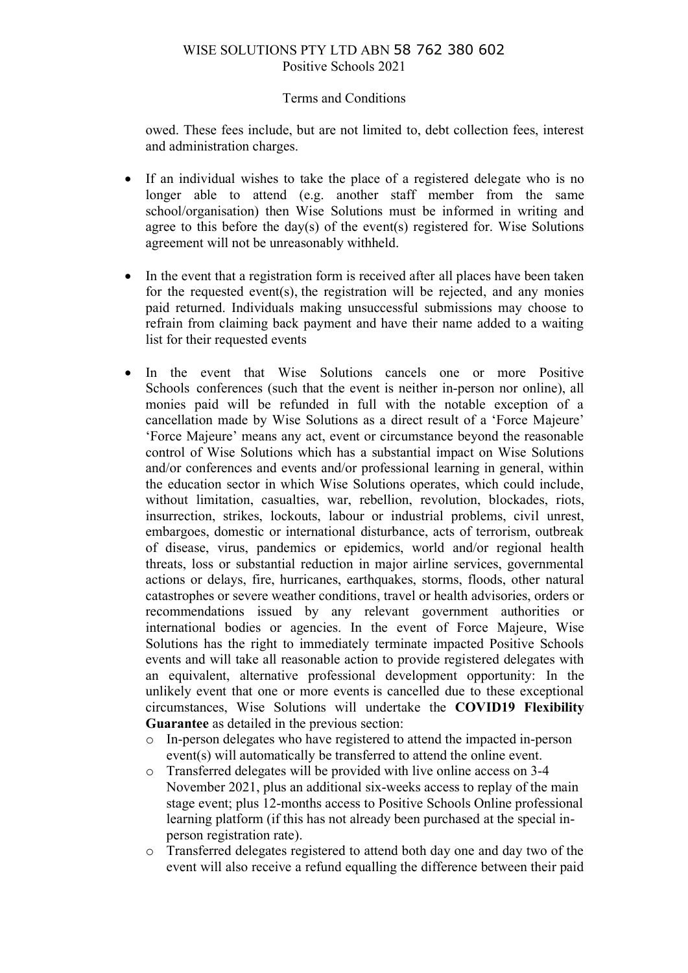#### Terms and Conditions

owed. These fees include, but are not limited to, debt collection fees, interest and administration charges.

- If an individual wishes to take the place of a registered delegate who is no longer able to attend (e.g. another staff member from the same school/organisation) then Wise Solutions must be informed in writing and agree to this before the day(s) of the event(s) registered for. Wise Solutions agreement will not be unreasonably withheld.
- In the event that a registration form is received after all places have been taken for the requested event(s), the registration will be rejected, and any monies paid returned. Individuals making unsuccessful submissions may choose to refrain from claiming back payment and have their name added to a waiting list for their requested events
- In the event that Wise Solutions cancels one or more Positive Schools conferences (such that the event is neither in-person nor online), all monies paid will be refunded in full with the notable exception of a cancellation made by Wise Solutions as a direct result of a 'Force Majeure' 'Force Majeure' means any act, event or circumstance beyond the reasonable control of Wise Solutions which has a substantial impact on Wise Solutions and/or conferences and events and/or professional learning in general, within the education sector in which Wise Solutions operates, which could include, without limitation, casualties, war, rebellion, revolution, blockades, riots, insurrection, strikes, lockouts, labour or industrial problems, civil unrest, embargoes, domestic or international disturbance, acts of terrorism, outbreak of disease, virus, pandemics or epidemics, world and/or regional health threats, loss or substantial reduction in major airline services, governmental actions or delays, fire, hurricanes, earthquakes, storms, floods, other natural catastrophes or severe weather conditions, travel or health advisories, orders or recommendations issued by any relevant government authorities or international bodies or agencies. In the event of Force Majeure, Wise Solutions has the right to immediately terminate impacted Positive Schools events and will take all reasonable action to provide registered delegates with an equivalent, alternative professional development opportunity: In the unlikely event that one or more events is cancelled due to these exceptional circumstances, Wise Solutions will undertake the **COVID19 Flexibility Guarantee** as detailed in the previous section:
	- o In-person delegates who have registered to attend the impacted in-person event(s) will automatically be transferred to attend the online event.
	- o Transferred delegates will be provided with live online access on 3-4 November 2021, plus an additional six-weeks access to replay of the main stage event; plus 12-months access to Positive Schools Online professional learning platform (if this has not already been purchased at the special inperson registration rate).
	- o Transferred delegates registered to attend both day one and day two of the event will also receive a refund equalling the difference between their paid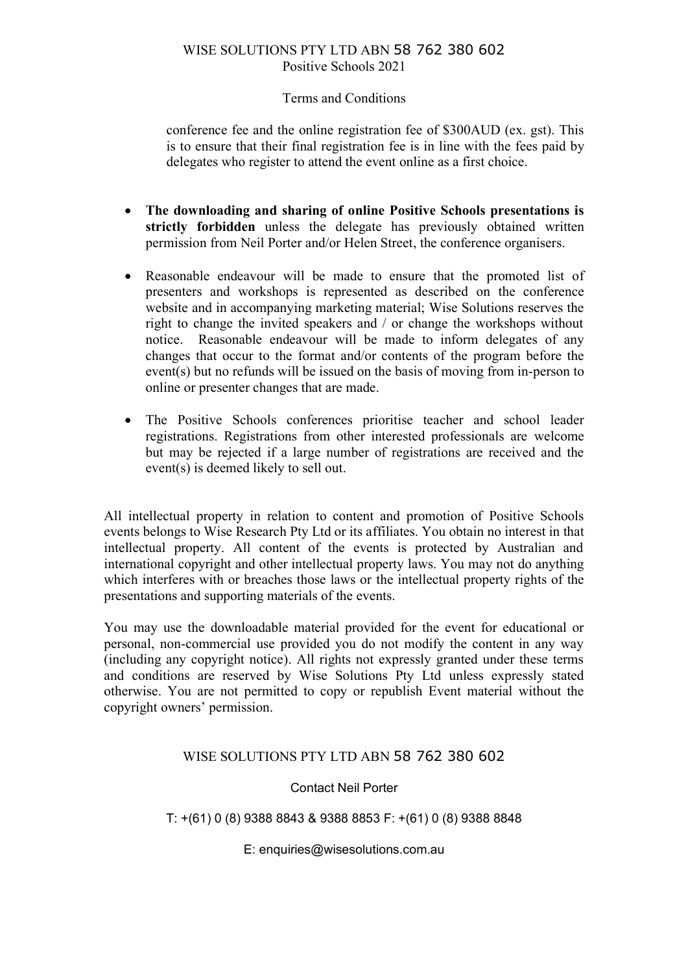#### Terms and Conditions

conference fee and the online registration fee of \$300AUD (ex. gst). This is to ensure that their final registration fee is in line with the fees paid by delegates who register to attend the event online as a first choice.

- **The downloading and sharing of online Positive Schools presentations is strictly forbidden** unless the delegate has previously obtained written permission from Neil Porter and/or Helen Street, the conference organisers.
- Reasonable endeavour will be made to ensure that the promoted list of presenters and workshops is represented as described on the conference website and in accompanying marketing material; Wise Solutions reserves the right to change the invited speakers and / or change the workshops without notice. Reasonable endeavour will be made to inform delegates of any changes that occur to the format and/or contents of the program before the event(s) but no refunds will be issued on the basis of moving from in-person to online or presenter changes that are made.
- The Positive Schools conferences prioritise teacher and school leader registrations. Registrations from other interested professionals are welcome but may be rejected if a large number of registrations are received and the event(s) is deemed likely to sell out.

All intellectual property in relation to content and promotion of Positive Schools events belongs to Wise Research Pty Ltd or its affiliates. You obtain no interest in that intellectual property. All content of the events is protected by Australian and international copyright and other intellectual property laws. You may not do anything which interferes with or breaches those laws or the intellectual property rights of the presentations and supporting materials of the events.

You may use the downloadable material provided for the event for educational or personal, non-commercial use provided you do not modify the content in any way (including any copyright notice). All rights not expressly granted under these terms and conditions are reserved by Wise Solutions Pty Ltd unless expressly stated otherwise. You are not permitted to copy or republish Event material without the copyright owners' permission.

# WISE SOLUTIONS PTY LTD ABN 58 762 380 602

# Contact Neil Porter

T: +(61) 0 (8) 9388 8843 & 9388 8853 F: +(61) 0 (8) 9388 8848

E: enquiries@wisesolutions.com.au